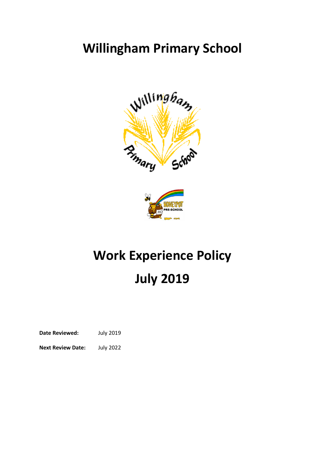# **Willingham Primary School**





# **Work Experience Policy July 2019**

**Date Reviewed:** July 2019

**Next Review Date:** July 2022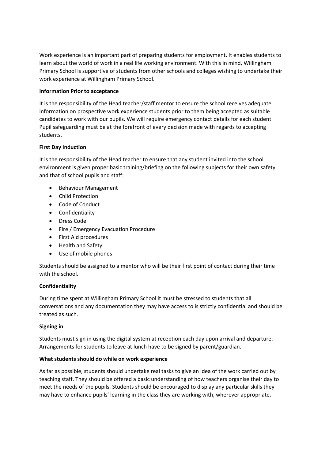Work experience is an important part of preparing students for employment. It enables students to learn about the world of work in a real life working environment. With this in mind, Willingham Primary School is supportive of students from other schools and colleges wishing to undertake their work experience at Willingham Primary School.

# **Information Prior to acceptance**

It is the responsibility of the Head teacher/staff mentor to ensure the school receives adequate information on prospective work experience students prior to them being accepted as suitable candidates to work with our pupils. We will require emergency contact details for each student. Pupil safeguarding must be at the forefront of every decision made with regards to accepting students.

# **First Day Induction**

It is the responsibility of the Head teacher to ensure that any student invited into the school environment is given proper basic training/briefing on the following subjects for their own safety and that of school pupils and staff:

- **•** Behaviour Management
- Child Protection
- Code of Conduct
- Confidentiality
- Dress Code
- Fire / Emergency Evacuation Procedure
- First Aid procedures
- Health and Safety
- Use of mobile phones

Students should be assigned to a mentor who will be their first point of contact during their time with the school.

# **Confidentiality**

During time spent at Willingham Primary School it must be stressed to students that all conversations and any documentation they may have access to is strictly confidential and should be treated as such.

#### **Signing in**

Students must sign in using the digital system at reception each day upon arrival and departure. Arrangements for students to leave at lunch have to be signed by parent/guardian.

#### **What students should do while on work experience**

As far as possible, students should undertake real tasks to give an idea of the work carried out by teaching staff. They should be offered a basic understanding of how teachers organise their day to meet the needs of the pupils. Students should be encouraged to display any particular skills they may have to enhance pupils' learning in the class they are working with, wherever appropriate.